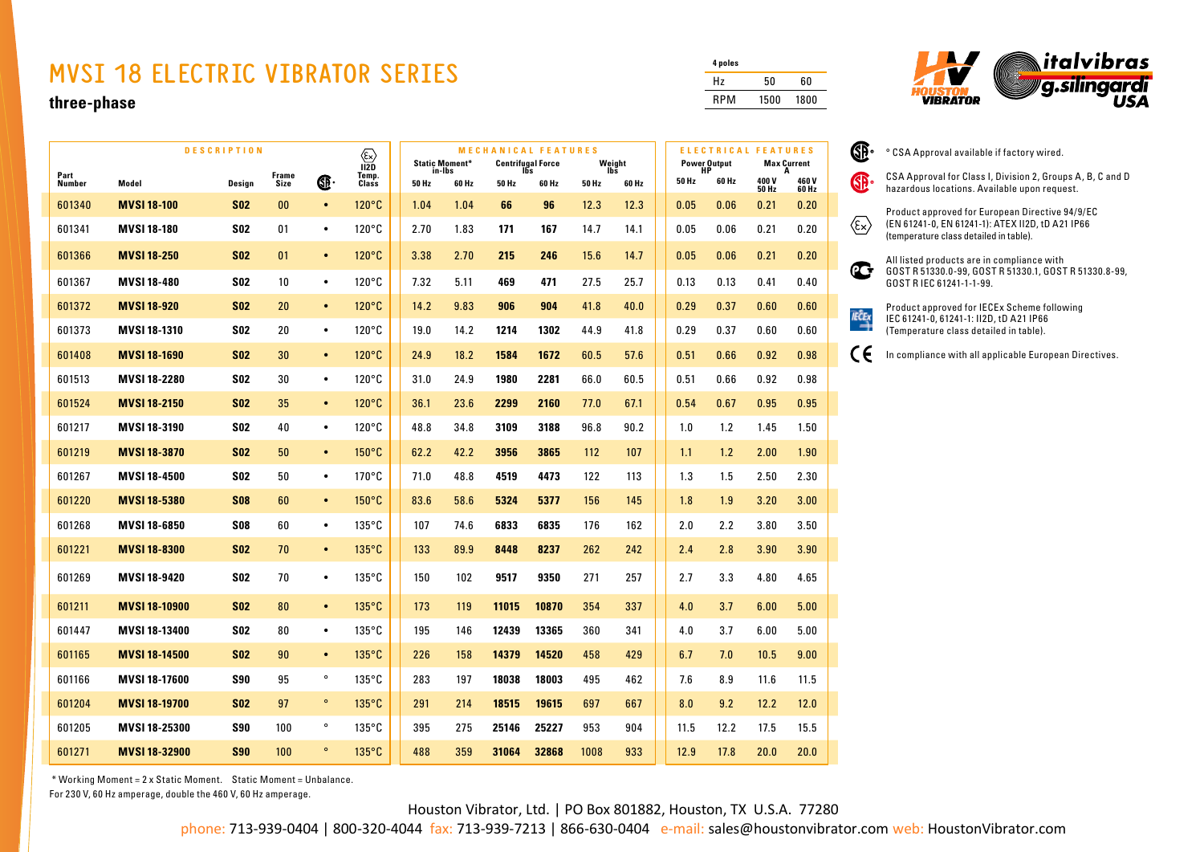## **MVSI 18 ELECTRIC VIBRATOR SERIES**

## **three-phase**

|                | <b>DESCRIPTION</b>   |            |                                      |           | $\textcircled{k}$<br>$\overline{12D}$ |      | <b>Static Moment*</b> |       | <b>MECHANICAL FEATURES</b><br><b>Centrifugal Force</b><br>Ibs |      | Weight |       |       | <b>ELECTRICAL FEATURES</b><br><b>Power Output</b><br>HP |                    | <b>Max Current</b> |
|----------------|----------------------|------------|--------------------------------------|-----------|---------------------------------------|------|-----------------------|-------|---------------------------------------------------------------|------|--------|-------|-------|---------------------------------------------------------|--------------------|--------------------|
| Part<br>Number | Model                | Design     | Frame<br>Temp.<br>Œ<br>Class<br>Size |           | in-Ibs<br>50 Hz<br>60 Hz              |      | 50 Hz<br>60 Hz        |       | lbs<br>60 Hz<br>50 Hz                                         |      |        | 50 Hz | 60 Hz | 400V<br><b>50 Hz</b>                                    | A<br>460V<br>60 Hz |                    |
| 601340         | <b>MVSI 18-100</b>   | <b>SO2</b> | 00                                   | $\bullet$ | 120°C                                 | 1.04 | 1.04                  | 66    | 96                                                            | 12.3 | 12.3   |       | 0.05  | 0.06                                                    | 0.21               | 0.20               |
| 601341         | <b>MVSI 18-180</b>   | <b>SO2</b> | 01                                   | $\bullet$ | $120^{\circ}$ C                       | 2.70 | 1.83                  | 171   | 167                                                           | 14.7 | 14.1   |       | 0.05  | 0.06                                                    | 0.21               | 0.20               |
| 601366         | <b>MVSI 18-250</b>   | <b>SO2</b> | 01                                   | $\bullet$ | 120°C                                 | 3.38 | 2.70                  | 215   | 246                                                           | 15.6 | 14.7   |       | 0.05  | 0.06                                                    | 0.21               | 0.20               |
| 601367         | <b>MVSI 18-480</b>   | <b>SO2</b> | 10                                   | $\bullet$ | $120^{\circ}$ C                       | 7.32 | 5.11                  | 469   | 471                                                           | 27.5 | 25.7   |       | 0.13  | 0.13                                                    | 0.41               | 0.40               |
| 601372         | <b>MVSI 18-920</b>   | <b>SO2</b> | 20                                   | $\bullet$ | $120^{\circ}$ C                       | 14.2 | 9.83                  | 906   | 904                                                           | 41.8 | 40.0   |       | 0.29  | 0.37                                                    | 0.60               | 0.60               |
| 601373         | <b>MVSI 18-1310</b>  | <b>SO2</b> | 20                                   | $\bullet$ | $120^{\circ}$ C                       | 19.0 | 14.2                  | 1214  | 1302                                                          | 44.9 | 41.8   |       | 0.29  | 0.37                                                    | 0.60               | 0.60               |
| 601408         | <b>MVSI 18-1690</b>  | <b>SO2</b> | 30                                   | $\bullet$ | 120°C                                 | 24.9 | 18.2                  | 1584  | 1672                                                          | 60.5 | 57.6   |       | 0.51  | 0.66                                                    | 0.92               | 0.98               |
| 601513         | <b>MVSI 18-2280</b>  | S02        | 30                                   | $\bullet$ | $120^{\circ}$ C                       | 31.0 | 24.9                  | 1980  | 2281                                                          | 66.0 | 60.5   |       | 0.51  | 0.66                                                    | 0.92               | 0.98               |
| 601524         | <b>MVSI 18-2150</b>  | <b>S02</b> | 35                                   | $\bullet$ | $120^{\circ}$ C                       | 36.1 | 23.6                  | 2299  | 2160                                                          | 77.0 | 67.1   |       | 0.54  | 0.67                                                    | 0.95               | 0.95               |
| 601217         | <b>MVSI 18-3190</b>  | <b>SO2</b> | 40                                   | $\bullet$ | $120^{\circ}$ C                       | 48.8 | 34.8                  | 3109  | 3188                                                          | 96.8 | 90.2   |       | 1.0   | 1.2                                                     | 1.45               | 1.50               |
| 601219         | <b>MVSI 18-3870</b>  | <b>S02</b> | 50                                   | $\bullet$ | $150^{\circ}$ C                       | 62.2 | 42.2                  | 3956  | 3865                                                          | 112  | 107    |       | 1.1   | 1.2                                                     | 2.00               | 1.90               |
| 601267         | <b>MVSI 18-4500</b>  | <b>SO2</b> | 50                                   | $\bullet$ | $170^{\circ}$ C                       | 71.0 | 48.8                  | 4519  | 4473                                                          | 122  | 113    |       | 1.3   | 1.5                                                     | 2.50               | 2.30               |
| 601220         | <b>MVSI 18-5380</b>  | <b>S08</b> | 60                                   | $\bullet$ | $150^{\circ}$ C                       | 83.6 | 58.6                  | 5324  | 5377                                                          | 156  | 145    |       | 1.8   | 1.9                                                     | 3.20               | 3.00               |
| 601268         | <b>MVSI 18-6850</b>  | S08        | 60                                   | $\bullet$ | $135^{\circ}$ C                       | 107  | 74.6                  | 6833  | 6835                                                          | 176  | 162    |       | 2.0   | 2.2                                                     | 3.80               | 3.50               |
| 601221         | <b>MVSI 18-8300</b>  | <b>SO2</b> | 70                                   | $\bullet$ | 135°C                                 | 133  | 89.9                  | 8448  | 8237                                                          | 262  | 242    |       | 2.4   | 2.8                                                     | 3.90               | 3.90               |
| 601269         | MVSI 18-9420         | <b>SO2</b> | 70                                   | $\bullet$ | $135^{\circ}$ C                       | 150  | 102                   | 9517  | 9350                                                          | 271  | 257    |       | 2.7   | 3.3                                                     | 4.80               | 4.65               |
| 601211         | <b>MVSI 18-10900</b> | <b>SO2</b> | 80                                   | $\bullet$ | $135^{\circ}$ C                       | 173  | 119                   | 11015 | 10870                                                         | 354  | 337    |       | 4.0   | 3.7                                                     | 6.00               | 5.00               |
| 601447         | <b>MVSI 18-13400</b> | <b>SO2</b> | 80                                   | $\bullet$ | $135^{\circ}$ C                       | 195  | 146                   | 12439 | 13365                                                         | 360  | 341    |       | 4.0   | 3.7                                                     | 6.00               | 5.00               |
| 601165         | <b>MVSI 18-14500</b> | <b>S02</b> | 90                                   | $\bullet$ | 135°C                                 | 226  | 158                   | 14379 | 14520                                                         | 458  | 429    |       | 6.7   | 7.0                                                     | 10.5               | 9.00               |
| 601166         | <b>MVSI 18-17600</b> | S90        | 95                                   | $\circ$   | $135^{\circ}$ C                       | 283  | 197                   | 18038 | 18003                                                         | 495  | 462    |       | 7.6   | 8.9                                                     | 11.6               | 11.5               |
| 601204         | <b>MVSI 18-19700</b> | <b>SO2</b> | 97                                   | $\circ$   | 135°C                                 | 291  | 214                   | 18515 | 19615                                                         | 697  | 667    |       | 8.0   | 9.2                                                     | 12.2               | 12.0               |
| 601205         | <b>MVSI 18-25300</b> | S90        | 100                                  | $\circ$   | $135^{\circ}$ C                       | 395  | 275                   | 25146 | 25227                                                         | 953  | 904    |       | 11.5  | 12.2                                                    | 17.5               | 15.5               |
| 601271         | <b>MVSI 18-32900</b> | <b>S90</b> | 100                                  | $\circ$   | $135^{\circ}$ C                       | 488  | 359                   | 31064 | 32868                                                         | 1008 | 933    |       | 12.9  | 17.8                                                    | 20.0               | 20.0               |

| 4 poles    |      |      |
|------------|------|------|
| Hz         | 50   | 60   |
| <b>RPM</b> | 1500 | 1800 |

 $\mathbb{G}$ 



|     | CSA Approval for Class I, Division 2, Groups A, B, C and D<br>hazardous locations. Available upon request.                                    |
|-----|-----------------------------------------------------------------------------------------------------------------------------------------------|
| Έ×  | Product approved for European Directive 94/9/EC<br>(EN 61241-0, EN 61241-1): ATEX II2D, tD A21 IP66<br>(temperature class detailed in table). |
| (LG | All listed products are in compliance with<br>GOST R 51330.0-99, GOST R 51330.1, GOST R 51330.8-99,<br>GOST R IEC 61241-1-1-99.               |
|     | Product approved for IECEx Scheme following<br>IEC 61241-0, 61241-1: II2D, tD A21 IP66<br>(Temperature class detailed in table).              |

° CSA Approval available if factory wired.

In compliance with all applicable European Directives.

 \* Working Moment = 2 x Static Moment. Static Moment = Unbalance. For 230 V, 60 Hz amperage, double the 460 V, 60 Hz amperage.

Houston Vibrator, Ltd. | PO Box 801882, Houston, TX U.S.A. 77280

phone: 713-939-0404 | 800-320-4044 fax: 713-939-7213 | 866-630-0404 e-mail: sales@houstonvibrator.com web: HoustonVibrator.com